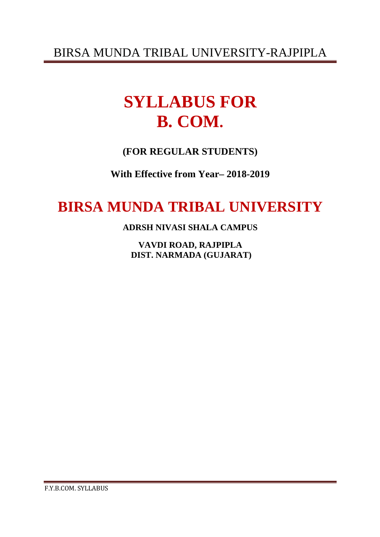# **SYLLABUS FOR B. COM.**

**(FOR REGULAR STUDENTS)** 

**With Effective from Year– 2018-2019** 

## **BIRSA MUNDA TRIBAL UNIVERSITY**

**ADRSH NIVASI SHALA CAMPUS** 

**VAVDI ROAD, RAJPIPLA DIST. NARMADA (GUJARAT)**

F.Y.B.COM. SYLLABUS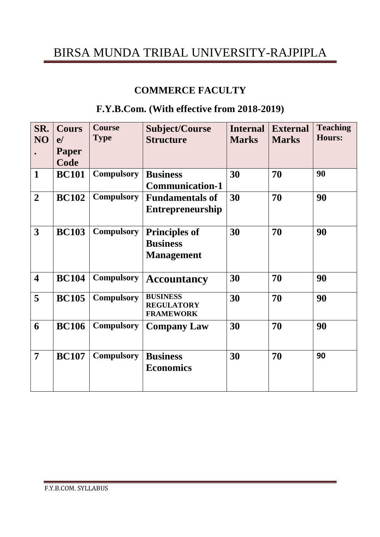### **COMMERCE FACULTY**

### **F.Y.B.Com. (With effective from 2018-2019)**

| SR.<br>NO               | <b>Cours</b><br>e/<br>Paper<br>Code | <b>Course</b><br><b>Type</b> | <b>Subject/Course</b><br><b>Structure</b>                    | <b>Internal</b><br><b>Marks</b> | <b>External</b><br><b>Marks</b> | <b>Teaching</b><br><b>Hours:</b> |
|-------------------------|-------------------------------------|------------------------------|--------------------------------------------------------------|---------------------------------|---------------------------------|----------------------------------|
| $\mathbf{1}$            | <b>BC101</b>                        | <b>Compulsory</b>            | <b>Business</b><br><b>Communication-1</b>                    | 30                              | 70                              | 90                               |
| $\overline{2}$          | <b>BC102</b>                        | <b>Compulsory</b>            | <b>Fundamentals of</b><br><b>Entrepreneurship</b>            | 30                              | 70                              | 90                               |
| 3                       | <b>BC103</b>                        | <b>Compulsory</b>            | <b>Principles of</b><br><b>Business</b><br><b>Management</b> | 30                              | 70                              | 90                               |
| $\overline{\mathbf{4}}$ | <b>BC104</b>                        | <b>Compulsory</b>            | <b>Accountancy</b>                                           | 30                              | 70                              | 90                               |
| 5                       | <b>BC105</b>                        | <b>Compulsory</b>            | <b>BUSINESS</b><br><b>REGULATORY</b><br><b>FRAMEWORK</b>     | 30                              | 70                              | 90                               |
| 6                       | <b>BC106</b>                        | <b>Compulsory</b>            | <b>Company Law</b>                                           | 30                              | 70                              | 90                               |
| 7                       | <b>BC107</b>                        | <b>Compulsory</b>            | <b>Business</b><br><b>Economics</b>                          | 30                              | 70                              | 90                               |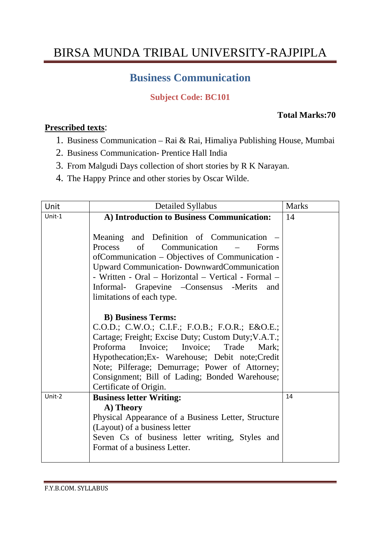### **Business Communication**

### **Subject Code: BC101**

#### **Total Marks:70**

#### **Prescribed texts**:

- 1. Business Communication Rai & Rai, Himaliya Publishing House, Mumbai
- 2. Business Communication- Prentice Hall India
- 3. From Malgudi Days collection of short stories by R K Narayan.
- 4. The Happy Prince and other stories by Oscar Wilde.

| Unit   | Detailed Syllabus                                                                                                                                                                                                                                                                                                                                                    | <b>Marks</b> |
|--------|----------------------------------------------------------------------------------------------------------------------------------------------------------------------------------------------------------------------------------------------------------------------------------------------------------------------------------------------------------------------|--------------|
| Unit-1 | A) Introduction to Business Communication:                                                                                                                                                                                                                                                                                                                           | 14           |
|        | Meaning and Definition of Communication –<br>Process of Communication<br>Forms<br>$\equiv$<br>of Communication – Objectives of Communication -<br><b>Upward Communication- DownwardCommunication</b><br>- Written - Oral - Horizontal - Vertical - Formal -<br>Informal- Grapevine - Consensus - Merits<br>and<br>limitations of each type.                          |              |
|        | <b>B)</b> Business Terms:<br>C.O.D.; C.W.O.; C.I.F.; F.O.B.; F.O.R.; E&O.E.<br>Cartage; Freight; Excise Duty; Custom Duty; V.A.T.;<br>Proforma<br>Invoice; Invoice; Trade<br>Mark:<br>Hypothecation; Ex- Warehouse; Debit note; Credit<br>Note; Pilferage; Demurrage; Power of Attorney;<br>Consignment; Bill of Lading; Bonded Warehouse;<br>Certificate of Origin. |              |
| Unit-2 | <b>Business letter Writing:</b>                                                                                                                                                                                                                                                                                                                                      | 14           |
|        | A) Theory                                                                                                                                                                                                                                                                                                                                                            |              |
|        | Physical Appearance of a Business Letter, Structure<br>(Layout) of a business letter                                                                                                                                                                                                                                                                                 |              |
|        | Seven Cs of business letter writing, Styles and                                                                                                                                                                                                                                                                                                                      |              |
|        | Format of a business Letter.                                                                                                                                                                                                                                                                                                                                         |              |
|        |                                                                                                                                                                                                                                                                                                                                                                      |              |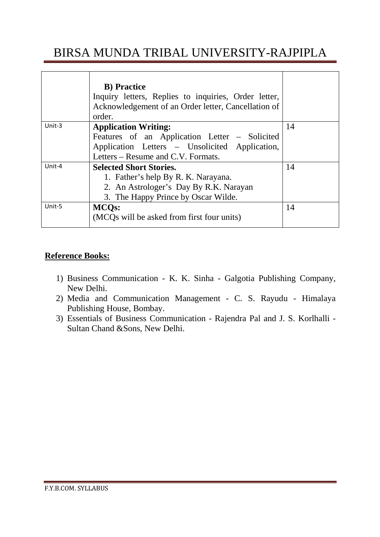|        | <b>B</b> ) Practice                                  |    |
|--------|------------------------------------------------------|----|
|        | Inquiry letters, Replies to inquiries, Order letter, |    |
|        | Acknowledgement of an Order letter, Cancellation of  |    |
|        | order.                                               |    |
| Unit-3 | <b>Application Writing:</b>                          | 14 |
|        | Features of an Application Letter – Solicited        |    |
|        | Application Letters - Unsolicited Application,       |    |
|        | Letters – Resume and C.V. Formats.                   |    |
| Unit-4 | <b>Selected Short Stories.</b>                       | 14 |
|        | 1. Father's help By R. K. Narayana.                  |    |
|        | 2. An Astrologer's Day By R.K. Narayan               |    |
|        | 3. The Happy Prince by Oscar Wilde.                  |    |
| Unit-5 | <b>MCQs:</b>                                         | 14 |
|        | (MCQs will be asked from first four units)           |    |
|        |                                                      |    |

#### **Reference Books:**

- 1) Business Communication K. K. Sinha Galgotia Publishing Company, New Delhi.
- 2) Media and Communication Management C. S. Rayudu Himalaya Publishing House, Bombay.
- 3) Essentials of Business Communication Rajendra Pal and J. S. Korlhalli Sultan Chand &Sons, New Delhi.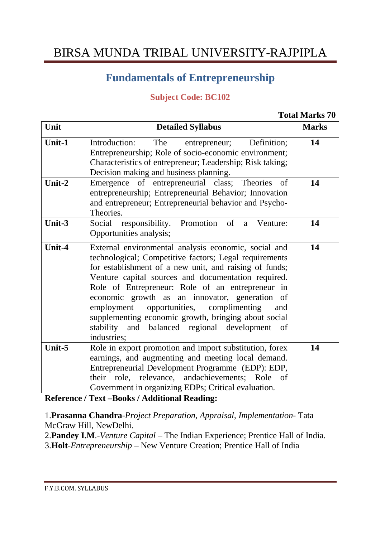### **Fundamentals of Entrepreneurship**

#### **Subject Code: BC102**

#### **Total Marks 70**

| Unit   | <b>Detailed Syllabus</b>                                                                                                                                                                                                                                                                                                                                                                                                                                                                                               | <b>Marks</b> |
|--------|------------------------------------------------------------------------------------------------------------------------------------------------------------------------------------------------------------------------------------------------------------------------------------------------------------------------------------------------------------------------------------------------------------------------------------------------------------------------------------------------------------------------|--------------|
| Unit-1 | Introduction:<br>Definition;<br>The<br>entrepreneur;<br>Entrepreneurship; Role of socio-economic environment;<br>Characteristics of entrepreneur; Leadership; Risk taking;<br>Decision making and business planning.                                                                                                                                                                                                                                                                                                   | 14           |
| Unit-2 | Emergence of entrepreneurial class; Theories<br>of<br>entrepreneurship; Entrepreneurial Behavior; Innovation<br>and entrepreneur; Entrepreneurial behavior and Psycho-<br>Theories.                                                                                                                                                                                                                                                                                                                                    | 14           |
| Unit-3 | Social responsibility. Promotion of<br>Venture:<br>a<br>Opportunities analysis;                                                                                                                                                                                                                                                                                                                                                                                                                                        | 14           |
| Unit-4 | External environmental analysis economic, social and<br>technological; Competitive factors; Legal requirements<br>for establishment of a new unit, and raising of funds;<br>Venture capital sources and documentation required.<br>Role of Entrepreneur: Role of an entrepreneur in<br>economic growth as an innovator, generation of<br>employment opportunities, complimenting<br>and<br>supplementing economic growth, bringing about social<br>balanced regional development<br>stability and<br>of<br>industries; | 14           |
| Unit-5 | Role in export promotion and import substitution, forex<br>earnings, and augmenting and meeting local demand.<br>Entrepreneurial Development Programme (EDP): EDP,<br>their role, relevance, andachievements; Role of<br>Government in organizing EDPs; Critical evaluation.                                                                                                                                                                                                                                           | 14           |

**Reference / Text –Books / Additional Reading:**

1.**Prasanna Chandra**-*Project Preparation, Appraisal, Implementation*- Tata McGraw Hill, NewDelhi.

2.**Pandey I.M**.-*Venture Capital* – The Indian Experience; Prentice Hall of India.

3.**Holt**-*Entrepreneurship* – New Venture Creation; Prentice Hall of India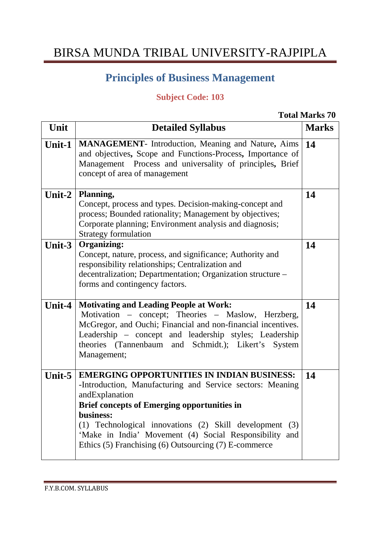### **Principles of Business Management**

### **Subject Code: 103**

**Total Marks 70** 

| Unit   | <b>Detailed Syllabus</b>                                                                                                                                                                                                                                                                                                                                                             | <b>Marks</b> |
|--------|--------------------------------------------------------------------------------------------------------------------------------------------------------------------------------------------------------------------------------------------------------------------------------------------------------------------------------------------------------------------------------------|--------------|
| Unit-1 | <b>MANAGEMENT</b> - Introduction, Meaning and Nature, Aims<br>and objectives, Scope and Functions-Process, Importance of<br>Management Process and universality of principles, Brief<br>concept of area of management                                                                                                                                                                | 14           |
| Unit-2 | Planning,<br>Concept, process and types. Decision-making-concept and<br>process; Bounded rationality; Management by objectives;<br>Corporate planning; Environment analysis and diagnosis;<br><b>Strategy formulation</b>                                                                                                                                                            | 14           |
| Unit-3 | <b>Organizing:</b><br>Concept, nature, process, and significance; Authority and<br>responsibility relationships; Centralization and<br>decentralization; Departmentation; Organization structure –<br>forms and contingency factors.                                                                                                                                                 | 14           |
| Unit-4 | <b>Motivating and Leading People at Work:</b><br>Motivation – concept; Theories – Maslow, Herzberg,<br>McGregor, and Ouchi; Financial and non-financial incentives.<br>Leadership – concept and leadership styles; Leadership<br>theories (Tannenbaum and Schmidt.); Likert's System<br>Management;                                                                                  | 14           |
| Unit-5 | <b>EMERGING OPPORTUNITIES IN INDIAN BUSINESS:</b><br>-Introduction, Manufacturing and Service sectors: Meaning<br>andExplanation<br><b>Brief concepts of Emerging opportunities in</b><br>business:<br>(1) Technological innovations (2) Skill development<br>(3)<br>'Make in India' Movement (4) Social Responsibility and<br>Ethics (5) Franchising (6) Outsourcing (7) E-commerce | 14           |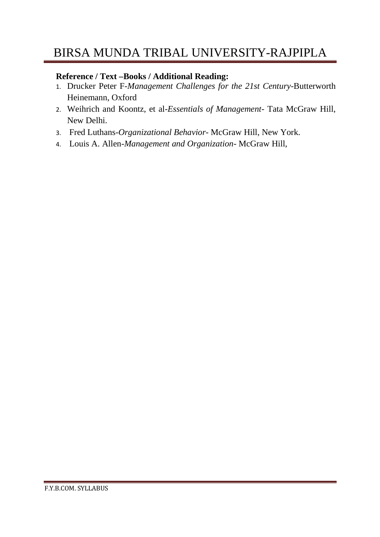#### **Reference / Text –Books / Additional Reading:**

- 1. Drucker Peter F-*Management Challenges for the 21st Century*-Butterworth Heinemann, Oxford
- 2. Weihrich and Koontz, et al-*Essentials of Management* Tata McGraw Hill, New Delhi.
- 3. Fred Luthans-*Organizational Behavior* McGraw Hill, New York.
- 4. Louis A. Allen-*Management and Organization* McGraw Hill,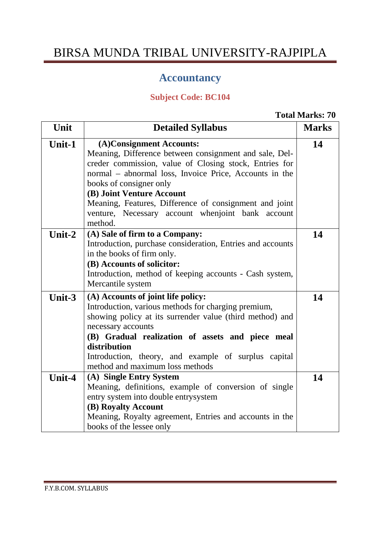### **Accountancy**

### **Subject Code: BC104**

**Total Marks: 70** 

| Unit   | <b>Detailed Syllabus</b>                                                                                                                                                                                                                                                                                                                                                                  | <b>Marks</b> |
|--------|-------------------------------------------------------------------------------------------------------------------------------------------------------------------------------------------------------------------------------------------------------------------------------------------------------------------------------------------------------------------------------------------|--------------|
| Unit-1 | (A)Consignment Accounts:<br>Meaning, Difference between consignment and sale, Del-<br>creder commission, value of Closing stock, Entries for<br>normal – abnormal loss, Invoice Price, Accounts in the<br>books of consigner only<br>(B) Joint Venture Account<br>Meaning, Features, Difference of consignment and joint<br>venture, Necessary account when joint bank account<br>method. | 14           |
| Unit-2 | (A) Sale of firm to a Company:<br>Introduction, purchase consideration, Entries and accounts<br>in the books of firm only.<br>(B) Accounts of solicitor:<br>Introduction, method of keeping accounts - Cash system,<br>Mercantile system                                                                                                                                                  | 14           |
| Unit-3 | (A) Accounts of joint life policy:<br>Introduction, various methods for charging premium,<br>showing policy at its surrender value (third method) and<br>necessary accounts<br>(B) Gradual realization of assets and piece meal<br>distribution<br>Introduction, theory, and example of surplus capital<br>method and maximum loss methods                                                | 14           |
| Unit-4 | (A) Single Entry System<br>Meaning, definitions, example of conversion of single<br>entry system into double entrysystem<br>(B) Royalty Account<br>Meaning, Royalty agreement, Entries and accounts in the<br>books of the lessee only                                                                                                                                                    | 14           |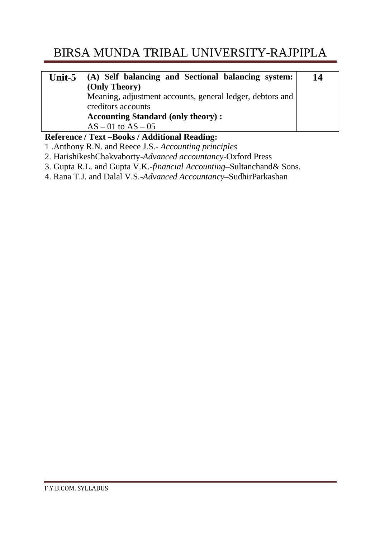| Unit- $5 \parallel$ | (A) Self balancing and Sectional balancing system:        | 14 |
|---------------------|-----------------------------------------------------------|----|
|                     | (Only Theory)                                             |    |
|                     | Meaning, adjustment accounts, general ledger, debtors and |    |
|                     | creditors accounts                                        |    |
|                     | <b>Accounting Standard (only theory):</b>                 |    |
|                     | $AS - 01$ to $AS - 05$                                    |    |
|                     | $\mathbf{m}$ $\mathbf{n}$ i<br>IT.                        |    |

**Reference / Text –Books / Additional Reading:** 

- 1 .Anthony R.N. and Reece J.S.- *Accounting principles*
- 2. HarishikeshChakvaborty-*Advanced accountancy*-Oxford Press
- 3. Gupta R.L. and Gupta V.K.-*financial Accounting*–Sultanchand& Sons.
- 4. Rana T.J. and Dalal V.S*.-Advanced Accountancy*–SudhirParkashan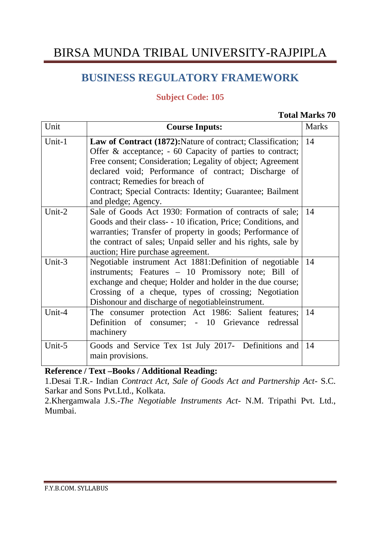### **BUSINESS REGULATORY FRAMEWORK**

#### **Subject Code: 105**

#### **Total Marks 70**

| Unit   | <b>Course Inputs:</b>                                                                                                                                                                                                                                                                                                                                                              | <b>Marks</b> |
|--------|------------------------------------------------------------------------------------------------------------------------------------------------------------------------------------------------------------------------------------------------------------------------------------------------------------------------------------------------------------------------------------|--------------|
| Unit-1 | <b>Law of Contract (1872):</b> Nature of contract; Classification;<br>Offer $\&$ acceptance; $-60$ Capacity of parties to contract;<br>Free consent; Consideration; Legality of object; Agreement<br>declared void; Performance of contract; Discharge of<br>contract; Remedies for breach of<br>Contract; Special Contracts: Identity; Guarantee; Bailment<br>and pledge; Agency. | 14           |
| Unit-2 | Sale of Goods Act 1930: Formation of contracts of sale; 14<br>Goods and their class - 10 ification, Price; Conditions, and<br>warranties; Transfer of property in goods; Performance of<br>the contract of sales; Unpaid seller and his rights, sale by<br>auction; Hire purchase agreement.                                                                                       |              |
| Unit-3 | Negotiable instrument Act 1881:Definition of negotiable 14<br>instruments; Features - 10 Promissory note; Bill of<br>exchange and cheque; Holder and holder in the due course;<br>Crossing of a cheque, types of crossing; Negotiation<br>Dishonour and discharge of negotiable instrument.                                                                                        |              |
| Unit-4 | The consumer protection Act 1986: Salient features;<br>Definition of consumer; - 10 Grievance redressal<br>machinery                                                                                                                                                                                                                                                               | 14           |
| Unit-5 | Goods and Service Tex 1st July 2017- Definitions and<br>main provisions.                                                                                                                                                                                                                                                                                                           | 14           |

**Reference / Text –Books / Additional Reading:** 

1.Desai T.R.- Indian *Contract Act, Sale of Goods Act and Partnership Act*- S.C. Sarkar and Sons Pvt.Ltd., Kolkata.

2.Khergamwala J.S.-*The Negotiable Instruments Act*- N.M. Tripathi Pvt. Ltd., Mumbai.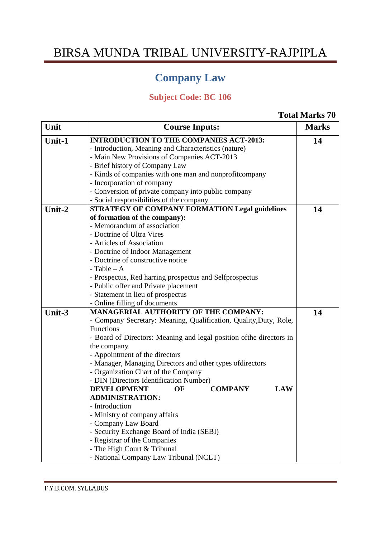### **Company Law**

### **Subject Code: BC 106**

#### **Total Marks 70**

| Unit   | <b>Course Inputs:</b>                                                | <b>Marks</b> |
|--------|----------------------------------------------------------------------|--------------|
| Unit-1 | <b>INTRODUCTION TO THE COMPANIES ACT-2013:</b>                       | 14           |
|        | - Introduction, Meaning and Characteristics (nature)                 |              |
|        | - Main New Provisions of Companies ACT-2013                          |              |
|        | - Brief history of Company Law                                       |              |
|        | - Kinds of companies with one man and nonprofitcompany               |              |
|        | - Incorporation of company                                           |              |
|        | - Conversion of private company into public company                  |              |
|        | - Social responsibilities of the company                             |              |
| Unit-2 | <b>STRATEGY OF COMPANY FORMATION Legal guidelines</b>                | 14           |
|        | of formation of the company):                                        |              |
|        | - Memorandum of association                                          |              |
|        | - Doctrine of Ultra Vires                                            |              |
|        | - Articles of Association                                            |              |
|        | - Doctrine of Indoor Management                                      |              |
|        | - Doctrine of constructive notice                                    |              |
|        | $-$ Table $-$ A                                                      |              |
|        | - Prospectus, Red harring prospectus and Selfprospectus              |              |
|        | - Public offer and Private placement                                 |              |
|        | - Statement in lieu of prospectus                                    |              |
|        | - Online filling of documents                                        |              |
| Unit-3 | <b>MANAGERIAL AUTHORITY OF THE COMPANY:</b>                          | 14           |
|        | - Company Secretary: Meaning, Qualification, Quality, Duty, Role,    |              |
|        | Functions                                                            |              |
|        | - Board of Directors: Meaning and legal position of the directors in |              |
|        | the company                                                          |              |
|        | - Appointment of the directors                                       |              |
|        | - Manager, Managing Directors and other types ofdirectors            |              |
|        | - Organization Chart of the Company                                  |              |
|        | - DIN (Directors Identification Number)                              |              |
|        | <b>DEVELOPMENT</b><br>OF<br><b>COMPANY</b><br><b>LAW</b>             |              |
|        | <b>ADMINISTRATION:</b>                                               |              |
|        | Introduction                                                         |              |
|        | - Ministry of company affairs<br>- Company Law Board                 |              |
|        | - Security Exchange Board of India (SEBI)                            |              |
|        | - Registrar of the Companies                                         |              |
|        | - The High Court & Tribunal                                          |              |
|        |                                                                      |              |
|        | - National Company Law Tribunal (NCLT)                               |              |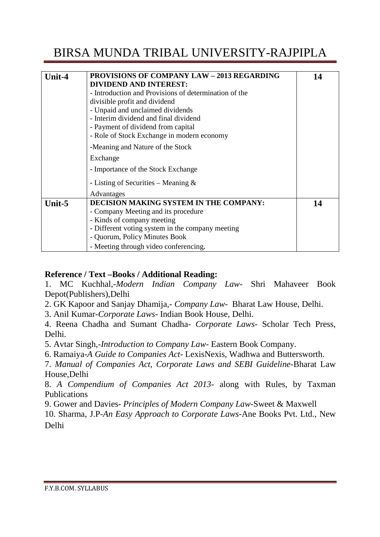| Unit-4 | <b>PROVISIONS OF COMPANY LAW - 2013 REGARDING</b><br><b>DIVIDEND AND INTEREST:</b><br>- Introduction and Provisions of determination of the<br>divisible profit and dividend<br>- Unpaid and unclaimed dividends<br>- Interim dividend and final dividend<br>- Payment of dividend from capital<br>- Role of Stock Exchange in modern economy | 14 |
|--------|-----------------------------------------------------------------------------------------------------------------------------------------------------------------------------------------------------------------------------------------------------------------------------------------------------------------------------------------------|----|
|        | -Meaning and Nature of the Stock                                                                                                                                                                                                                                                                                                              |    |
|        | Exchange                                                                                                                                                                                                                                                                                                                                      |    |
|        | - Importance of the Stock Exchange                                                                                                                                                                                                                                                                                                            |    |
|        | - Listing of Securities – Meaning $\&$                                                                                                                                                                                                                                                                                                        |    |
|        | Advantages                                                                                                                                                                                                                                                                                                                                    |    |
| Unit-5 | <b>DECISION MAKING SYSTEM IN THE COMPANY:</b><br>- Company Meeting and its procedure<br>- Kinds of company meeting<br>- Different voting system in the company meeting<br>- Quorum, Policy Minutes Book                                                                                                                                       | 14 |
|        | - Meeting through video conferencing.                                                                                                                                                                                                                                                                                                         |    |

#### **Reference / Text –Books / Additional Reading:**

1. MC Kuchhal,-*Modern Indian Company Law*- Shri Mahaveer Book Depot(Publishers),Delhi

2. GK Kapoor and Sanjay Dhamija*,- Company Law*- Bharat Law House, Delhi.

3. Anil Kumar-*Corporate Laws*- Indian Book House, Delhi.

4. Reena Chadha and Sumant Chadha- *Corporate Laws*- Scholar Tech Press, Delhi.

5. Avtar Singh,-*Introduction to Company Law*- Eastern Book Company.

6. Ramaiya-*A Guide to Companies Act-* LexisNexis, Wadhwa and Buttersworth.

7. *Manual of Companies Act, Corporate Laws and SEBI Guideline-*Bharat Law House,Delhi

8. *A Compendium of Companies Act 2013-* along with Rules, by Taxman Publications

9. Gower and Davies*- Principles of Modern Company Law*-Sweet & Maxwell

10. Sharma, J.P-*An Easy Approach to Corporate Laws*-Ane Books Pvt. Ltd., New Delhi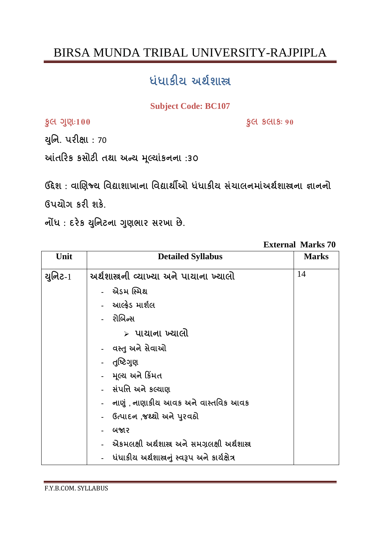## ધંધાકીય અર્થશાસ્ત્ર

#### **Subject Code: BC107**

કુલ ગુણ:100

**§Cl SCllS: 90** 

યુનિ. પરીક્ષા: 70

આંતરિક કસોટી તથા અન્ય મૂલ્યાંકનના :30

ઉદ્દેશ: વાણિજ્ય વિદ્યાશાખાના વિદ્યાર્થીઓ ધંધાકીય સંચાલનમાંઅર્થશાસ્ત્રના જ્ઞાનનો Guala sel as

નોંધ: દરેક યુનિટના ગુણભાર સરખા છે.

**External Marks 70** 

| Unit       | <b>Detailed Syllabus</b>                        | <b>Marks</b> |
|------------|-------------------------------------------------|--------------|
| યુનિટ- $1$ | અર્થશાસ્રની વ્યાખ્યા અને પાચાના ખ્યાલો          | 14           |
|            | -   એડમ સ્મિથ                                   |              |
|            | -   આલ્ફ્રેડ માર્શલ                             |              |
|            | - રોબિન્સ                                       |              |
|            | ≻ પાચાના ખ્યાલો                                 |              |
|            | -   વસ્તુ અને સેવાઓ                             |              |
|            | - पुष्ठिगुણ                                     |              |
|            | - મૂલ્ય અને કિંમત                               |              |
|            | - સંપત્તિ અને કલ્યાણ                            |              |
|            | -   નાણું , નાણાકીય આવક અને વાસ્તવિક આવક        |              |
|            | - ઉત્પાદન ,જથ્થો અને પુરવઠો                     |              |
|            | બજાર                                            |              |
|            | એકમલક્ષી અર્થશાસ્ત્ર અને સમગ્રલક્ષી અર્થશાસ્ત્ર |              |
|            | ધંધાકીય અર્થશાસ્ત્રનું સ્વરૂપ અને કાર્યક્ષેત્ર  |              |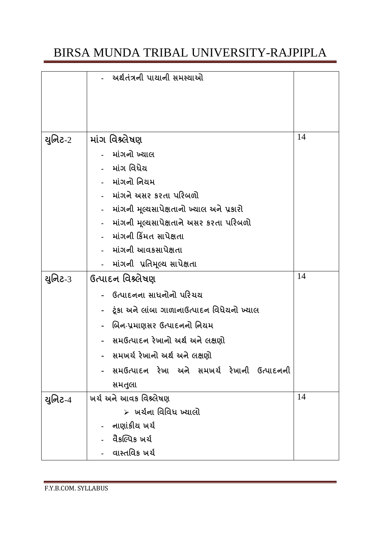|         | અર્થતંત્રની પાયાની સમસ્યાઓ                  |    |
|---------|---------------------------------------------|----|
|         |                                             |    |
|         |                                             |    |
| યુનિટ-2 | માંગ વિશ્ર્લેષણ                             | 14 |
|         | માંગનો ખ્યાલ                                |    |
|         | માંગ વિધેય                                  |    |
|         | માંગનો નિયમ                                 |    |
|         | માંગને અસર કરતા પરિબળો                      |    |
|         | માંગની મૂલ્યસાપેક્ષતાનો ખ્યાલ અને પ્રકારો   |    |
|         | માંગની મૂલ્યસાપેક્ષતાને અસર કરતા પરિબળો     |    |
|         | માંગની કિંમત સાપેક્ષતા                      |    |
|         | માંગની આવકસાપેક્ષતા                         |    |
|         | માંગની પ્રતિમૂલ્ય સાપેક્ષતા                 |    |
| યુનિટ-3 | ઉત્પાદન વિશ્ર્લેષણ                          | 14 |
|         | ઉત્પાદનના સાધનોનો પરિચય                     |    |
|         | ટૂંકા અને લાંબા ગાળાનાઉત્પાદન વિધેયનો ખ્યાલ |    |
|         | બિન-પ્રમાણસર ઉત્પાદનનો નિયમ                 |    |
|         | સમઉત્પાદન રેખાનો અર્થ અને લક્ષણો            |    |
|         | સમખર્ચ રેખાનો અર્થ અને લક્ષણો               |    |
|         | સમઉત્પાદન રેખા અને સમખર્ચ રેખાની ઉત્પાદનની  |    |
|         | સમતુલા                                      |    |
| યુનિટ-4 | ખર્ચ અને આવક વિશ્ર્લેષણ                     | 14 |
|         | ≻ાષર્યના વિવિધ ખ્યાલો                       |    |
|         | નાણાંકીય ખર્ચ                               |    |
|         | વૈકલ્પિક ખર્ચ                               |    |
|         | વાસ્તવિક ખર્ચ                               |    |